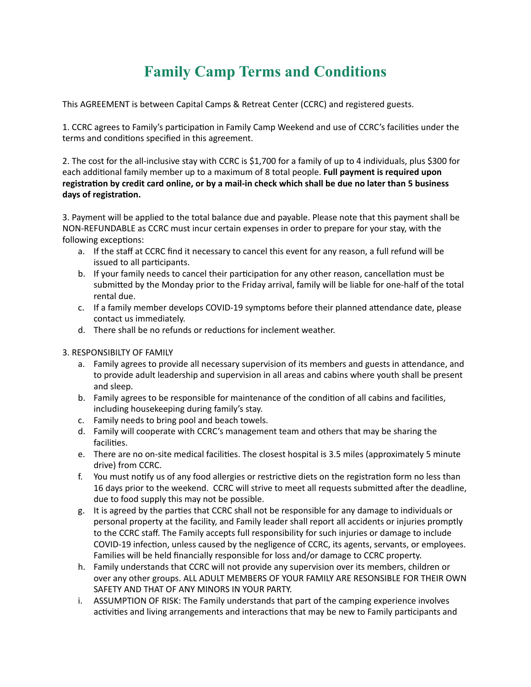## **Family Camp Terms and Conditions**

This AGREEMENT is between Capital Camps & Retreat Center (CCRC) and registered guests.

1. CCRC agrees to Family's participation in Family Camp Weekend and use of CCRC's facilities under the terms and conditions specified in this agreement.

2. The cost for the all-inclusive stay with CCRC is \$1,700 for a family of up to 4 individuals, plus \$300 for each additional family member up to a maximum of 8 total people. Full payment is required upon registration by credit card online, or by a mail-in check which shall be due no later than 5 business **days of registration.**

3. Payment will be applied to the total balance due and payable. Please note that this payment shall be NON-REFUNDABLE as CCRC must incur certain expenses in order to prepare for your stay, with the following exceptions:

- a. If the staff at CCRC find it necessary to cancel this event for any reason, a full refund will be issued to all participants.
- b. If your family needs to cancel their participation for any other reason, cancellation must be submitted by the Monday prior to the Friday arrival, family will be liable for one-half of the total rental due.
- c. If a family member develops COVID-19 symptoms before their planned attendance date, please contact us immediately.
- d. There shall be no refunds or reductions for inclement weather.
- **3. RESPONSIBILTY OF FAMILY** 
	- a. Family agrees to provide all necessary supervision of its members and guests in attendance, and to provide adult leadership and supervision in all areas and cabins where youth shall be present and sleep.
	- b. Family agrees to be responsible for maintenance of the condition of all cabins and facilities, including housekeeping during family's stay.
	- c. Family needs to bring pool and beach towels.
	- d. Family will cooperate with CCRC's management team and others that may be sharing the facilities.
	- e. There are no on-site medical facilities. The closest hospital is 3.5 miles (approximately 5 minute drive) from CCRC.
	- f. You must notify us of any food allergies or restrictive diets on the registration form no less than 16 days prior to the weekend. CCRC will strive to meet all requests submitted after the deadline, due to food supply this may not be possible.
	- g. It is agreed by the parties that CCRC shall not be responsible for any damage to individuals or personal property at the facility, and Family leader shall report all accidents or injuries promptly to the CCRC staff. The Family accepts full responsibility for such injuries or damage to include COVID-19 infection, unless caused by the negligence of CCRC, its agents, servants, or employees. Families will be held financially responsible for loss and/or damage to CCRC property.
	- h. Family understands that CCRC will not provide any supervision over its members, children or over any other groups. ALL ADULT MEMBERS OF YOUR FAMILY ARE RESONSIBLE FOR THEIR OWN SAFETY AND THAT OF ANY MINORS IN YOUR PARTY.
	- i. ASSUMPTION OF RISK: The Family understands that part of the camping experience involves activities and living arrangements and interactions that may be new to Family participants and